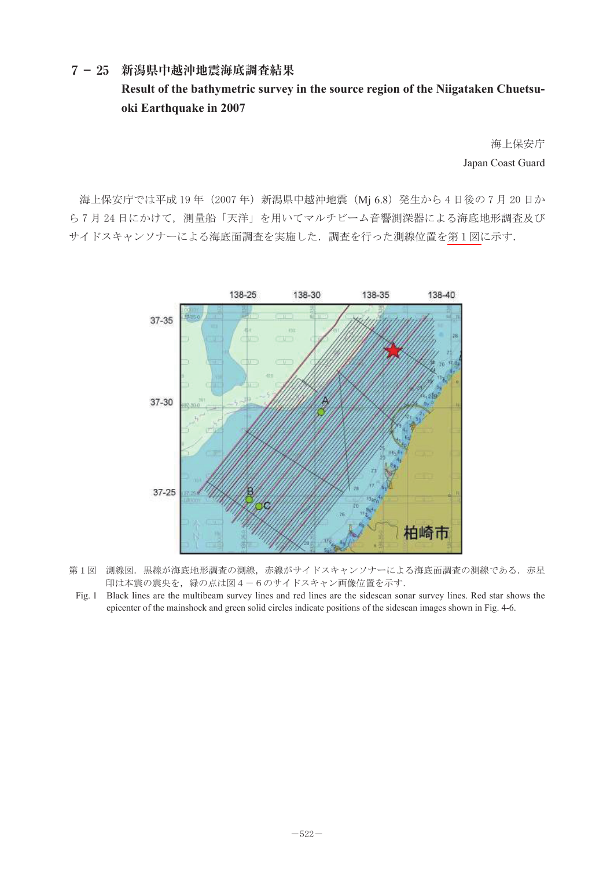## **7- 25 新潟県中越沖地震海底調査結果 Result of the bathymetric survey in the source region of the Niigataken Chuetsu**oki Earthquake in 2007

海上保安庁 Japan Coast Guard ᶏᐡ-

海上保安庁では平成 19 年(2007 年)新潟県中越沖地震(Mj 6.8)発生から 4 日後の 7 月 20 日か ら7月24日にかけて,測量船「天洋」を用いてマルチビーム音響測深器による海底地形調査及び サイドスキャンソナーによる海底面調査を実施した. 調査を行った測線位置を第1図に示す.



- 第1図 測線図.黒線が海底地形調査の測線,赤線がサイドスキャンソナーによる海底面調査の測線である.赤星 印は本震の震央を,緑の点は図4-6のサイドスキャン画像位置を示す.
- Fig. 1 Black lines are the multibeam survey lines and red lines are the sidescan sonar survey lines. Red star shows the epicenter of the mainshock and green solid circles indicate positions of the sidescan images shown in Fig. 4-6.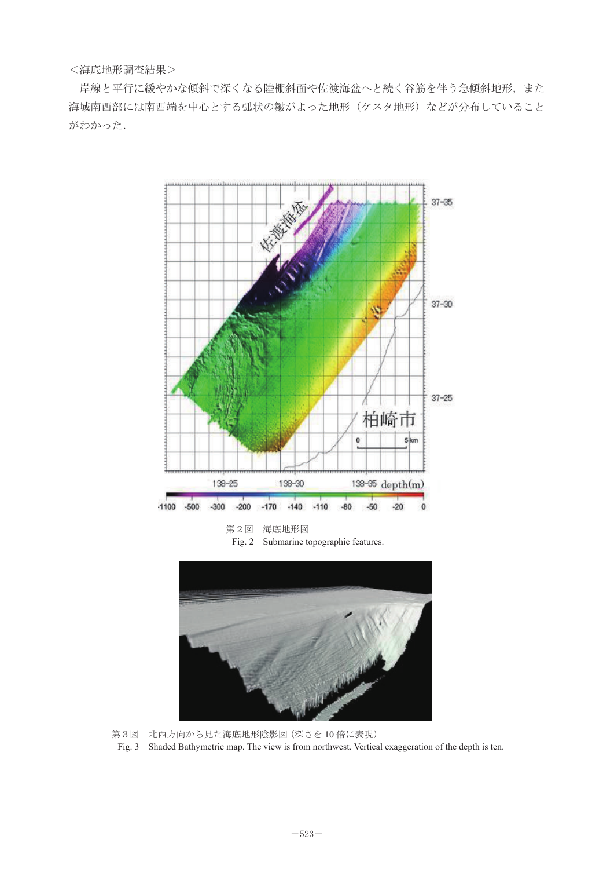<海底地形調査結果>

岸線と平行に緩やかな傾斜で深くなる陸棚斜面や佐渡海盆へと続く谷筋を伴う急傾斜地形,また 海域南西部には南西端を中心とする弧状の皺がよった地形(ケスタ地形)などが分布していること がわかった.



第3図 北西方向から見た海底地形陰影図(深さを 10 倍に表現)  $\mathbf{j}$ )

Fig. 3 Shaded Bathymetric map. The view is from northwest. Vertical exaggeration of the depth is ten.